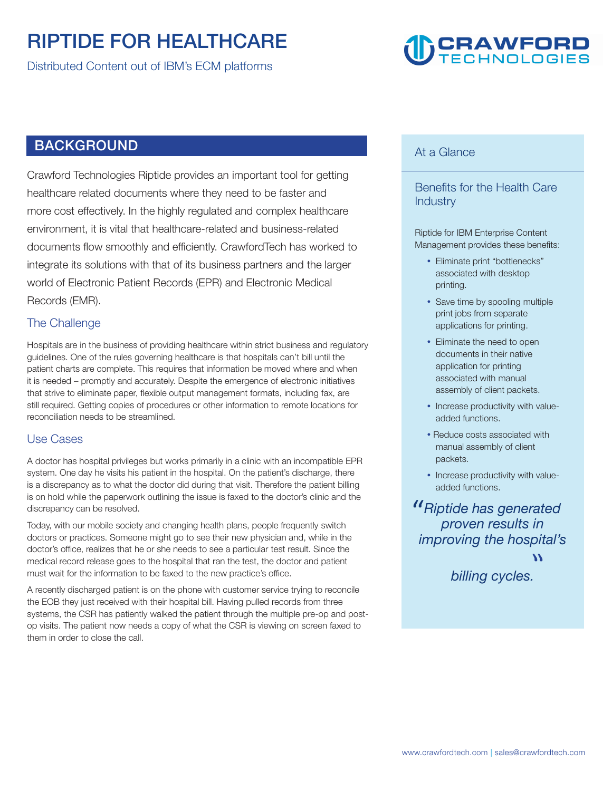# **RIPTIDE FOR HEALTHCARE**

**Distributed Content out of IBM's ECM platforms** 

# **CRAWFORD**<br>TECHNOLOGIES

## **BACKGROUND**

**Crawford Technologies Riptide provides an important tool for getting healthcare related documents where they need to be faster and more cost effectively. In the highly regulated and complex healthcare environment, it is vital that healthcare-related and business-related documents flow smoothly and efficiently. CrawfordTech has worked to integrate its solutions with that of its business partners and the larger world of Electronic Patient Records (EPR) and Electronic Medical Records (EMR).** 

#### **The Challenge**

**Hospitals are in the business of providing healthcare within strict business and regulatory guidelines. One of the rules governing healthcare is that hospitals can't bill until the patient charts are complete. This requires that information be moved where and when it is needed – promptly and accurately. Despite the emergence of electronic initiatives that strive to eliminate paper, flexible output management formats, including fax, are still required. Getting copies of procedures or other information to remote locations for reconciliation needs to be streamlined.** 

#### **Use Cases**

**A doctor has hospital privileges but works primarily in a clinic with an incompatible EPR system. One day he visits his patient in the hospital. On the patient's discharge, there is a discrepancy as to what the doctor did during that visit. Therefore the patient billing is on hold while the paperwork outlining the issue is faxed to the doctor's clinic and the discrepancy can be resolved.** 

**Today, with our mobile society and changing health plans, people frequently switch doctors or practices. Someone might go to see their new physician and, while in the doctor's office, realizes that he or she needs to see a particular test result. Since the medical record release goes to the hospital that ran the test, the doctor and patient must wait for the information to be faxed to the new practice's office.** 

**A recently discharged patient is on the phone with customer service trying to reconcile the EOB they just received with their hospital bill. Having pulled records from three systems, the CSR has patiently walked the patient through the multiple pre-op and postop visits. The patient now needs a copy of what the CSR is viewing on screen faxed to them in order to close the call.** 

#### **At a Glance**

**Benefits for the Health Care Industry** 

**Riptide for IBM Enterprise Content Management provides these benefits:** 

- y **Eliminate print "bottlenecks" associated with desktop printing.**
- Save time by spooling multiple **print jobs from separate applications for printing.**
- **Eliminate the need to open documents in their native application for printing associated with manual assembly of client packets.**
- Increase productivity with value**added functions.**
- **Reduce costs associated with manual assembly of client packets.**
- Increase productivity with value**added functions.**

**" Riptide has generated proven results in improving the hospital's** 

> **billing cycle** ्हि।<br>|-<br>|-